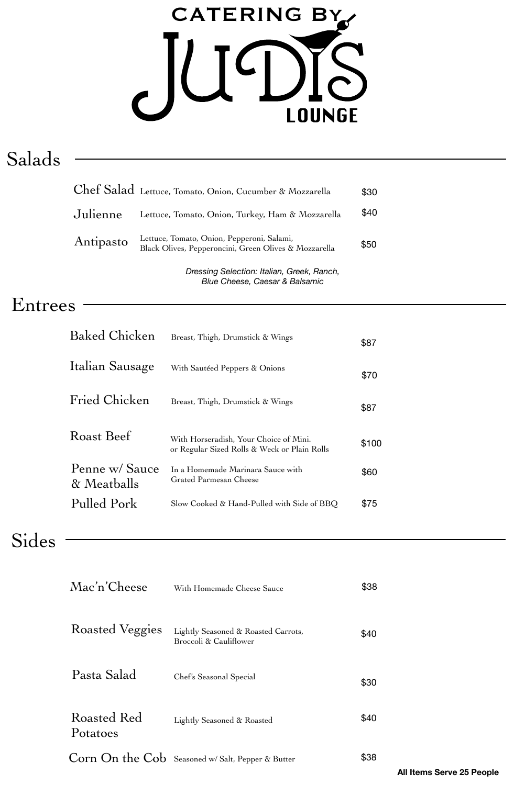# CATERING By  $\overline{\mathcal{C}}$  $\overline{\phantom{a}}$ **LOUNGE**

# Salads

|           | Chef Salad Lettuce, Tomato, Onion, Cucumber & Mozzarella                                            | \$30 |
|-----------|-----------------------------------------------------------------------------------------------------|------|
| Julienne  | Lettuce, Tomato, Onion, Turkey, Ham & Mozzarella                                                    | \$40 |
| Antipasto | Lettuce, Tomato, Onion, Pepperoni, Salami,<br>Black Olives, Pepperoncini, Green Olives & Mozzarella | \$50 |

*Dressing Selection: Italian, Greek, Ranch, Blue Cheese, Caesar & Balsamic*

#### Entrees

| <b>Baked Chicken</b>          | Breast, Thigh, Drumstick & Wings                                                       | \$87  |
|-------------------------------|----------------------------------------------------------------------------------------|-------|
| Italian Sausage               | With Sautéed Peppers & Onions                                                          | \$70  |
| Fried Chicken                 | Breast, Thigh, Drumstick & Wings                                                       | \$87  |
| Roast Beef                    | With Horseradish, Your Choice of Mini.<br>or Regular Sized Rolls & Weck or Plain Rolls | \$100 |
| Penne w/ Sauce<br>& Meatballs | In a Homemade Marinara Sauce with<br>Grated Parmesan Cheese                            | \$60  |
| Pulled Pork                   | Slow Cooked & Hand-Pulled with Side of BBQ                                             | \$75  |

### Sides

| Mac'n'Cheese            | With Homemade Cheese Sauce                                    | \$38 |
|-------------------------|---------------------------------------------------------------|------|
| Roasted Veggies         | Lightly Seasoned & Roasted Carrots,<br>Broccoli & Cauliflower | \$40 |
| Pasta Salad             | Chef's Seasonal Special                                       | \$30 |
| Roasted Red<br>Potatoes | Lightly Seasoned & Roasted                                    | \$40 |
|                         | Corn On the Cob Seasoned w/ Salt, Pepper & Butter             | \$38 |